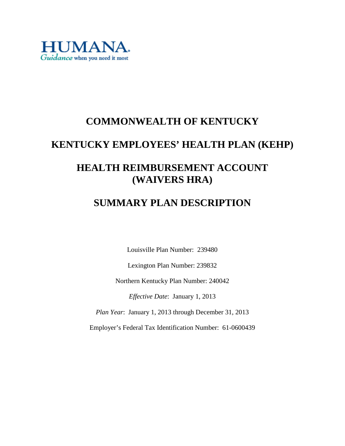

# **COMMONWEALTH OF KENTUCKY**

# **KENTUCKY EMPLOYEES' HEALTH PLAN (KEHP)**

# **HEALTH REIMBURSEMENT ACCOUNT (WAIVERS HRA)**

# **SUMMARY PLAN DESCRIPTION**

Louisville Plan Number: 239480

Lexington Plan Number: 239832

Northern Kentucky Plan Number: 240042

*Effective Date*: January 1, 2013

*Plan Year*: January 1, 2013 through December 31, 2013

Employer's Federal Tax Identification Number: 61-0600439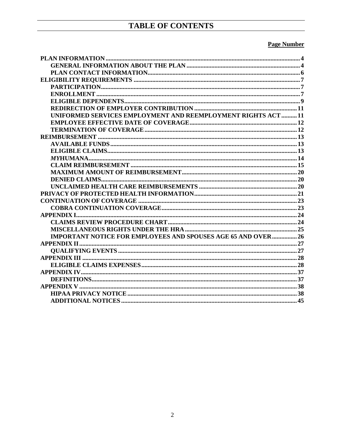### **Page Number**

| UNIFORMED SERVICES EMPLOYMENT AND REEMPLOYMENT RIGHTS ACT 11          |  |
|-----------------------------------------------------------------------|--|
|                                                                       |  |
|                                                                       |  |
|                                                                       |  |
|                                                                       |  |
|                                                                       |  |
|                                                                       |  |
|                                                                       |  |
|                                                                       |  |
|                                                                       |  |
|                                                                       |  |
|                                                                       |  |
|                                                                       |  |
|                                                                       |  |
|                                                                       |  |
|                                                                       |  |
|                                                                       |  |
| <b>IMPORTANT NOTICE FOR EMPLOYEES AND SPOUSES AGE 65 AND OVER  26</b> |  |
|                                                                       |  |
|                                                                       |  |
|                                                                       |  |
|                                                                       |  |
|                                                                       |  |
|                                                                       |  |
|                                                                       |  |
|                                                                       |  |
|                                                                       |  |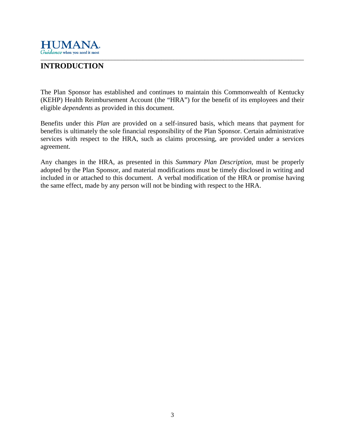

### \_\_\_\_\_\_\_\_\_\_\_\_\_\_\_\_\_\_\_\_\_\_\_\_\_\_\_\_\_\_\_\_\_\_\_\_\_\_\_\_\_\_\_\_\_\_\_\_\_\_\_\_\_\_\_\_\_\_\_\_\_\_\_\_\_\_\_\_\_\_\_\_\_\_\_\_\_\_\_\_\_\_\_\_\_ **INTRODUCTION**

The Plan Sponsor has established and continues to maintain this Commonwealth of Kentucky (KEHP) Health Reimbursement Account (the "HRA") for the benefit of its employees and their eligible *dependents* as provided in this document.

Benefits under this *Plan* are provided on a self-insured basis, which means that payment for benefits is ultimately the sole financial responsibility of the Plan Sponsor. Certain administrative services with respect to the HRA, such as claims processing, are provided under a services agreement.

Any changes in the HRA, as presented in this *Summary Plan Description*, must be properly adopted by the Plan Sponsor, and material modifications must be timely disclosed in writing and included in or attached to this document. A verbal modification of the HRA or promise having the same effect, made by any person will not be binding with respect to the HRA.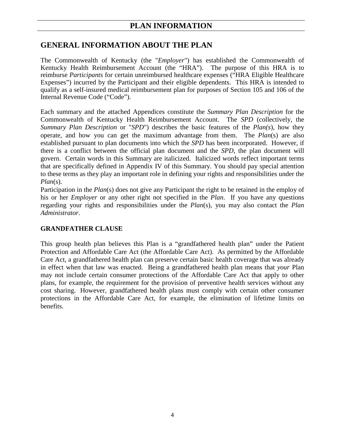# <span id="page-3-1"></span>**PLAN INFORMATION**

# <span id="page-3-0"></span>**GENERAL INFORMATION ABOUT THE PLAN**

The Commonwealth of Kentucky (the "*Employer*") has established the Commonwealth of Kentucky Health Reimbursement Account (the "HRA"). The purpose of this HRA is to reimburse *Participants* for certain unreimbursed healthcare expenses ("HRA Eligible Healthcare Expenses") incurred by the Participant and their eligible dependents. This HRA is intended to qualify as a self-insured medical reimbursement plan for purposes of Section 105 and 106 of the Internal Revenue Code ("Code").

Each summary and the attached Appendices constitute the *Summary Plan Description* for the Commonwealth of Kentucky Health Reimbursement Account. The *SPD* (collectively, the *Summary Plan Description* or "*SPD*") describes the basic features of the *Plan(s*), how they operate, and how you can get the maximum advantage from them. The *Plan*(s) are also established pursuant to plan documents into which the *SPD* has been incorporated. However, if there is a conflict between the official plan document and the *SPD*, the plan document will govern. Certain words in this Summary are italicized. Italicized words reflect important terms that are specifically defined in Appendix IV of this Summary. You should pay special attention to these terms as they play an important role in defining your rights and responsibilities under the *Plan*(s).

Participation in the *Plan*(s) does not give any Participant the right to be retained in the employ of his or her *Employer* or any other right not specified in the *Plan*. If you have any questions regarding your rights and responsibilities under the *Plan*(s), you may also contact the *Plan Administrator*.

### **GRANDFATHER CLAUSE**

This group health plan believes this Plan is a "grandfathered health plan" under the Patient Protection and Affordable Care Act (the Affordable Care Act). As permitted by the Affordable Care Act, a grandfathered health plan can preserve certain basic health coverage that was already in effect when that law was enacted. Being a grandfathered health plan means that *your* Plan may not include certain consumer protections of the Affordable Care Act that apply to other plans, for example, the requirement for the provision of preventive health services without any cost sharing. However, grandfathered health plans must comply with certain other consumer protections in the Affordable Care Act, for example, the elimination of lifetime limits on benefits.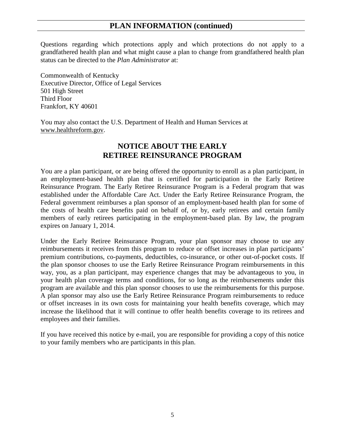# **PLAN INFORMATION (continued)**

Questions regarding which protections apply and which protections do not apply to a grandfathered health plan and what might cause a plan to change from grandfathered health plan status can be directed to the *Plan Administrator* at:

Commonwealth of Kentucky Executive Director, Office of Legal Services 501 High Street Third Floor Frankfort, KY 40601

You may also contact the U.S. Department of Health and Human Services at [www.healthreform.gov.](http://www.healthreform.gov/)

# **NOTICE ABOUT THE EARLY RETIREE REINSURANCE PROGRAM**

You are a plan participant, or are being offered the opportunity to enroll as a plan participant, in an employment-based health plan that is certified for participation in the Early Retiree Reinsurance Program. The Early Retiree Reinsurance Program is a Federal program that was established under the Affordable Care Act. Under the Early Retiree Reinsurance Program, the Federal government reimburses a plan sponsor of an employment-based health plan for some of the costs of health care benefits paid on behalf of, or by, early retirees and certain family members of early retirees participating in the employment-based plan. By law, the program expires on January 1, 2014.

Under the Early Retiree Reinsurance Program, your plan sponsor may choose to use any reimbursements it receives from this program to reduce or offset increases in plan participants' premium contributions, co-payments, deductibles, co-insurance, or other out-of-pocket costs. If the plan sponsor chooses to use the Early Retiree Reinsurance Program reimbursements in this way, you, as a plan participant, may experience changes that may be advantageous to you, in your health plan coverage terms and conditions, for so long as the reimbursements under this program are available and this plan sponsor chooses to use the reimbursements for this purpose. A plan sponsor may also use the Early Retiree Reinsurance Program reimbursements to reduce or offset increases in its own costs for maintaining your health benefits coverage, which may increase the likelihood that it will continue to offer health benefits coverage to its retirees and employees and their families.

If you have received this notice by e-mail, you are responsible for providing a copy of this notice to your family members who are participants in this plan.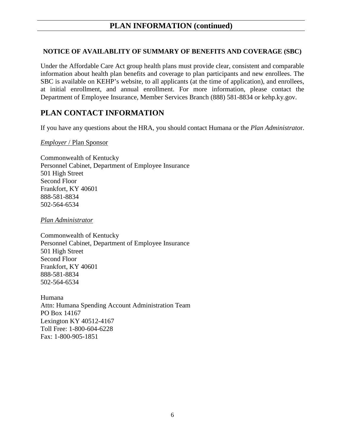### **NOTICE OF AVAILABLITY OF SUMMARY OF BENEFITS AND COVERAGE (SBC)**

Under the Affordable Care Act group health plans must provide clear, consistent and comparable information about health plan benefits and coverage to plan participants and new enrollees. The SBC is available on KEHP's website, to all applicants (at the time of application), and enrollees, at initial enrollment, and annual enrollment. For more information, please contact the Department of Employee Insurance, Member Services Branch (888) 581-8834 or kehp.ky.gov.

# <span id="page-5-0"></span>**PLAN CONTACT INFORMATION**

If you have any questions about the HRA, you should contact Humana or the *Plan Administrato*r.

### *Employer* / Plan Sponsor

Commonwealth of Kentucky Personnel Cabinet, Department of Employee Insurance 501 High Street Second Floor Frankfort, KY 40601 888-581-8834 502-564-6534

*Plan Administrator*

Commonwealth of Kentucky Personnel Cabinet, Department of Employee Insurance 501 High Street Second Floor Frankfort, KY 40601 888-581-8834 502-564-6534

Humana Attn: Humana Spending Account Administration Team PO Box 14167 Lexington KY 40512-4167 Toll Free: 1-800-604-6228 Fax: 1-800-905-1851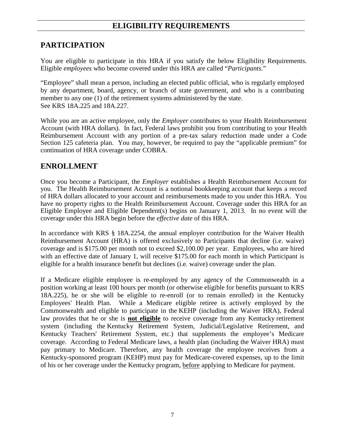# <span id="page-6-1"></span>**ELIGIBILITY REQUIREMENTS**

# <span id="page-6-0"></span>**PARTICIPATION**

You are eligible to participate in this HRA if you satisfy the below Eligibility Requirements. Eligible *employees* who become covered under this HRA are called "*Participants.*"

"Employee" shall mean a person, including an elected public official, who is regularly employed by any department, board, agency, or branch of state government, and who is a contributing member to any one (1) of the retirement systems administered by the state. See KRS 18A.225 and 18A.227.

While you are an active employee, only the *Employer* contributes to your Health Reimbursement Account (with HRA dollars). In fact, Federal laws prohibit you from contributing to your Health Reimbursement Account with any portion of a pre-tax salary reduction made under a Code Section 125 cafeteria plan. You may, however, be required to pay the "applicable premium" for continuation of HRA coverage under COBRA.

# <span id="page-6-2"></span>**ENROLLMENT**

Once you become a Participant, the *Employer* establishes a Health Reimbursement Account for you. The Health Reimbursement Account is a notional bookkeeping account that keeps a record of HRA dollars allocated to your account and reimbursements made to you under this HRA. You have no property rights to the Health Reimbursement Account. Coverage under this HRA for an Eligible Employee and Eligible Dependent(s) begins on January 1, 2013. In no event will the coverage under this HRA begin before the *effective date* of this HRA.

In accordance with KRS § 18A.2254, the annual employer contribution for the Waiver Health Reimbursement Account (HRA) is offered exclusively to Participants that decline (i.e. waive) coverage and is \$175.00 per month not to exceed \$2,100.00 per year. Employees, who are hired with an effective date of January 1, will receive \$175.00 for each month in which Participant is eligible for a health insurance benefit but declines (i.e. waive) coverage under the plan.

If a Medicare eligible employee is re-employed by any agency of the Commonwealth in a position working at least 100 hours per month (or otherwise eligible for benefits pursuant to KRS 18A.225), he or she will be eligible to re-enroll (or to remain enrolled) in the Kentucky Employees' Health Plan. While a Medicare eligible retiree is actively employed by the Commonwealth and eligible to participate in the KEHP (including the Waiver HRA), Federal law provides that he or she is **not eligible** to receive coverage from any Kentucky retirement system (including the Kentucky Retirement System, Judicial/Legislative Retirement, and Kentucky Teachers' Retirement System, etc.) that supplements the employee's Medicare coverage. According to Federal Medicare laws, a health plan (including the Waiver HRA) must pay primary to Medicare. Therefore, any health coverage the employee receives from a Kentucky-sponsored program (KEHP) must pay for Medicare-covered expenses, up to the limit of his or her coverage under the Kentucky program, before applying to Medicare for payment.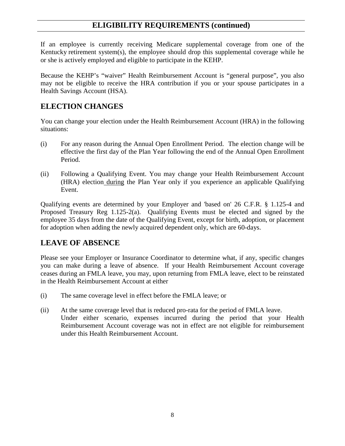# **ELIGIBILITY REQUIREMENTS (continued)**

If an employee is currently receiving Medicare supplemental coverage from one of the Kentucky retirement system(s), the employee should drop this supplemental coverage while he or she is actively employed and eligible to participate in the KEHP.

Because the KEHP's "waiver" Health Reimbursement Account is "general purpose", you also may not be eligible to receive the HRA contribution if you or your spouse participates in a Health Savings Account (HSA).

# **ELECTION CHANGES**

You can change your election under the Health Reimbursement Account (HRA) in the following situations:

- (i) For any reason during the Annual Open Enrollment Period. The election change will be effective the first day of the Plan Year following the end of the Annual Open Enrollment Period.
- (ii) Following a Qualifying Event. You may change your Health Reimbursement Account (HRA) election during the Plan Year only if you experience an applicable Qualifying Event.

Qualifying events are determined by your Employer and 'based on' 26 C.F.R. § 1.125-4 and Proposed Treasury Reg 1.125-2(a). Qualifying Events must be elected and signed by the employee 35 days from the date of the Qualifying Event, except for birth, adoption, or placement for adoption when adding the newly acquired dependent only, which are 60-days.

# **LEAVE OF ABSENCE**

Please see your Employer or Insurance Coordinator to determine what, if any, specific changes you can make during a leave of absence. If your Health Reimbursement Account coverage ceases during an FMLA leave, you may, upon returning from FMLA leave, elect to be reinstated in the Health Reimbursement Account at either

- (i) The same coverage level in effect before the FMLA leave; or
- (ii) At the same coverage level that is reduced pro-rata for the period of FMLA leave. Under either scenario, expenses incurred during the period that your Health Reimbursement Account coverage was not in effect are not eligible for reimbursement under this Health Reimbursement Account.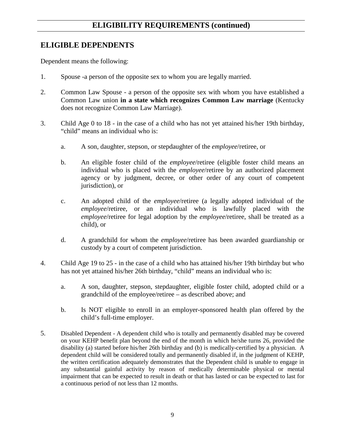# <span id="page-8-0"></span>**ELIGIBLE DEPENDENTS**

Dependent means the following:

- 1. Spouse -a person of the opposite sex to whom you are legally married.
- 2. Common Law Spouse a person of the opposite sex with whom you have established a Common Law union **in a state which recognizes Common Law marriage** (Kentucky does not recognize Common Law Marriage).
- 3. Child Age 0 to 18 in the case of a child who has not yet attained his/her 19th birthday, "child" means an individual who is:
	- a. A son, daughter, stepson, or stepdaughter of the *employee*/retiree, or
	- b. An eligible foster child of the *employee*/retiree (eligible foster child means an individual who is placed with the *employee*/retiree by an authorized placement agency or by judgment, decree, or other order of any court of competent jurisdiction), or
	- c. An adopted child of the *employee*/retiree (a legally adopted individual of the *employee*/retiree, or an individual who is lawfully placed with the *employee*/retiree for legal adoption by the *employee*/retiree, shall be treated as a child), or
	- d. A grandchild for whom the *employee*/retiree has been awarded guardianship or custody by a court of competent jurisdiction.
- 4. Child Age 19 to 25 in the case of a child who has attained his/her 19th birthday but who has not yet attained his/her 26th birthday, "child" means an individual who is:
	- a. A son, daughter, stepson, stepdaughter, eligible foster child, adopted child or a grandchild of the employee/retiree – as described above; and
	- b. Is NOT eligible to enroll in an employer-sponsored health plan offered by the child's full-time employer.
- 5. Disabled Dependent A dependent child who is totally and permanently disabled may be covered on your KEHP benefit plan beyond the end of the month in which he/she turns 26, provided the disability (a) started before his/her 26th birthday and (b) is medically-certified by a physician. A dependent child will be considered totally and permanently disabled if, in the judgment of KEHP, the written certification adequately demonstrates that the Dependent child is unable to engage in any substantial gainful activity by reason of medically determinable physical or mental impairment that can be expected to result in death or that has lasted or can be expected to last for a continuous period of not less than 12 months.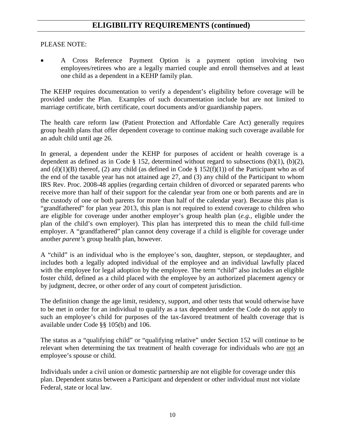### PLEASE NOTE:

• A Cross Reference Payment Option is a payment option involving two employees/retirees who are a legally married couple and enroll themselves and at least one child as a dependent in a KEHP family plan.

The KEHP requires documentation to verify a dependent's eligibility before coverage will be provided under the Plan. Examples of such documentation include but are not limited to marriage certificate, birth certificate, court documents and/or guardianship papers.

The health care reform law (Patient Protection and Affordable Care Act) generally requires group health plans that offer dependent coverage to continue making such coverage available for an adult child until age 26.

In general, a dependent under the KEHP for purposes of accident or health coverage is a dependent as defined as in Code § 152, determined without regard to subsections (b)(1), (b)(2), and (d)(1)(B) thereof, (2) any child (as defined in Code § 152(f)(1)) of the Participant who as of the end of the taxable year has not attained age 27, and (3) any child of the Participant to whom IRS Rev. Proc. 2008-48 applies (regarding certain children of divorced or separated parents who receive more than half of their support for the calendar year from one or both parents and are in the custody of one or both parents for more than half of the calendar year). Because this plan is "grandfathered" for plan year 2013, this plan is not required to extend coverage to children who are eligible for coverage under another employer's group health plan (*e.g.,* eligible under the plan of the child's own employer). This plan has interpreted this to mean the child full-time employer. A "grandfathered" plan cannot deny coverage if a child is eligible for coverage under another *parent's* group health plan, however.

A "child" is an individual who is the employee's son, daughter, stepson, or stepdaughter, and includes both a legally adopted individual of the employee and an individual lawfully placed with the employee for legal adoption by the employee. The term "child" also includes an eligible foster child, defined as a child placed with the employee by an authorized placement agency or by judgment, decree, or other order of any court of competent jurisdiction.

The definition change the age limit, residency, support, and other tests that would otherwise have to be met in order for an individual to qualify as a tax dependent under the Code do not apply to such an employee's child for purposes of the tax-favored treatment of health coverage that is available under Code §§ 105(b) and 106.

The status as a "qualifying child" or "qualifying relative" under Section 152 will continue to be relevant when determining the tax treatment of health coverage for individuals who are not an employee's spouse or child.

Individuals under a civil union or domestic partnership are not eligible for coverage under this plan. Dependent status between a Participant and dependent or other individual must not violate Federal, state or local law.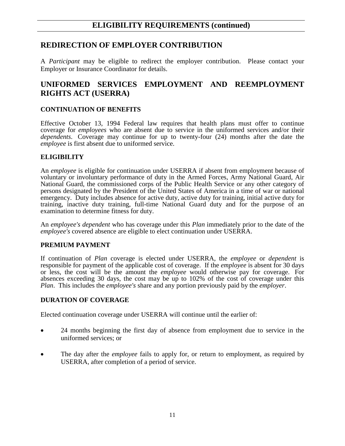# <span id="page-10-1"></span><span id="page-10-0"></span>**ELIGIBILITY REQUIREMENTS (continued)**

## **REDIRECTION OF EMPLOYER CONTRIBUTION**

A *Participant* may be eligible to redirect the employer contribution. Please contact your Employer or Insurance Coordinator for details.

# **UNIFORMED SERVICES EMPLOYMENT AND REEMPLOYMENT RIGHTS ACT (USERRA)**

### **CONTINUATION OF BENEFITS**

Effective October 13, 1994 Federal law requires that health plans must offer to continue coverage for *employees* who are absent due to service in the uniformed services and/or their *dependents*. Coverage may continue for up to twenty-four (24) months after the date the *employee* is first absent due to uniformed service.

### **ELIGIBILITY**

An *employee* is eligible for continuation under USERRA if absent from employment because of voluntary or involuntary performance of duty in the Armed Forces, Army National Guard, Air National Guard, the commissioned corps of the Public Health Service or any other category of persons designated by the President of the United States of America in a time of war or national emergency. Duty includes absence for active duty, active duty for training, initial active duty for training, inactive duty training, full-time National Guard duty and for the purpose of an examination to determine fitness for duty.

An *employee's dependent* who has coverage under this *Plan* immediately prior to the date of the *employee's* covered absence are eligible to elect continuation under USERRA.

#### **PREMIUM PAYMENT**

If continuation of *Plan* coverage is elected under USERRA, the *employee* or *dependent* is responsible for payment of the applicable cost of coverage. If the *employee* is absent for 30 days or less, the cost will be the amount the *employee* would otherwise pay for coverage. For absences exceeding 30 days, the cost may be up to 102% of the cost of coverage under this *Plan*. This includes the *employee's* share and any portion previously paid by the *employer*.

#### **DURATION OF COVERAGE**

Elected continuation coverage under USERRA will continue until the earlier of:

- 24 months beginning the first day of absence from employment due to service in the uniformed services; or
- The day after the *employee* fails to apply for, or return to employment, as required by USERRA, after completion of a period of service.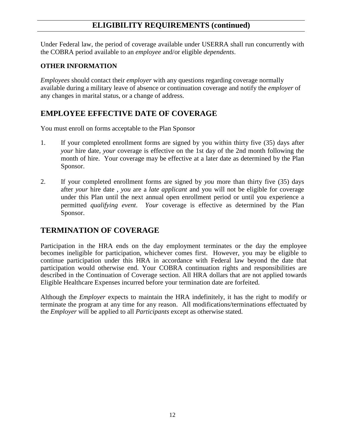# <span id="page-11-0"></span>**ELIGIBILITY REQUIREMENTS (continued)**

Under Federal law, the period of coverage available under USERRA shall run concurrently with the COBRA period available to an *employee* and/or eligible *dependents*.

### **OTHER INFORMATION**

*Employees* should contact their *employer* with any questions regarding coverage normally available during a military leave of absence or continuation coverage and notify the *employer* of any changes in marital status, or a change of address.

# **EMPLOYEE EFFECTIVE DATE OF COVERAGE**

You must enroll on forms acceptable to the Plan Sponsor

- 1. If your completed enrollment forms are signed by you within thirty five (35) days after *your* hire date, *your* coverage is effective on the 1st day of the 2nd month following the month of hire. Your coverage may be effective at a later date as determined by the Plan Sponsor.
- 2. If your completed enrollment forms are signed by *you* more than thirty five (35) days after *your* hire date , *you* are a *late applicant* and you will not be eligible for coverage under this Plan until the next annual open enrollment period or until you experience a permitted *qualifying event*. *Your* coverage is effective as determined by the Plan Sponsor.

# <span id="page-11-1"></span>**TERMINATION OF COVERAGE**

Participation in the HRA ends on the day employment terminates or the day the employee becomes ineligible for participation, whichever comes first. However, you may be eligible to continue participation under this HRA in accordance with Federal law beyond the date that participation would otherwise end. Your COBRA continuation rights and responsibilities are described in the Continuation of Coverage section. All HRA dollars that are not applied towards Eligible Healthcare Expenses incurred before your termination date are forfeited.

Although the *Employer* expects to maintain the HRA indefinitely, it has the right to modify or terminate the program at any time for any reason. All modifications/terminations effectuated by the *Employer* will be applied to all *Participants* except as otherwise stated.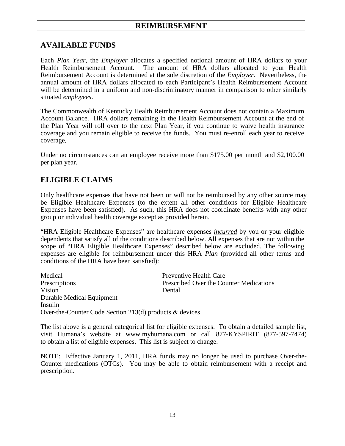# <span id="page-12-1"></span><span id="page-12-0"></span>**AVAILABLE FUNDS**

Each *Plan Year*, the *Employer* allocates a specified notional amount of HRA dollars to your Health Reimbursement Account. The amount of HRA dollars allocated to your Health Reimbursement Account is determined at the sole discretion of the *Employer*. Nevertheless, the annual amount of HRA dollars allocated to each Participant's Health Reimbursement Account will be determined in a uniform and non-discriminatory manner in comparison to other similarly situated *employees*.

The Commonwealth of Kentucky Health Reimbursement Account does not contain a Maximum Account Balance. HRA dollars remaining in the Health Reimbursement Account at the end of the Plan Year will roll over to the next Plan Year, if you continue to waive health insurance coverage and you remain eligible to receive the funds. You must re-enroll each year to receive coverage.

Under no circumstances can an employee receive more than \$175.00 per month and \$2,100.00 per plan year.

### <span id="page-12-2"></span>**ELIGIBLE CLAIMS**

Only healthcare expenses that have not been or will not be reimbursed by any other source may be Eligible Healthcare Expenses (to the extent all other conditions for Eligible Healthcare Expenses have been satisfied). As such, this HRA does not coordinate benefits with any other group or individual health coverage except as provided herein.

"HRA Eligible Healthcare Expenses" are healthcare expenses *incurred* by you or your eligible dependents that satisfy all of the conditions described below. All expenses that are not within the scope of "HRA Eligible Healthcare Expenses" described below are excluded. The following expenses are eligible for reimbursement under this HRA *Plan* (provided all other terms and conditions of the HRA have been satisfied):

| Medical                                                   | Preventive Health Care                  |
|-----------------------------------------------------------|-----------------------------------------|
| Prescriptions                                             | Prescribed Over the Counter Medications |
| Vision                                                    | Dental                                  |
| Durable Medical Equipment                                 |                                         |
| Insulin                                                   |                                         |
| Over-the-Counter Code Section 213(d) products $&$ devices |                                         |

The list above is a general categorical list for eligible expenses. To obtain a detailed sample list, visit Humana's website at www.myhumana.com or call 877-KYSPIRIT (877-597-7474) to obtain a list of eligible expenses. This list is subject to change.

NOTE: Effective January 1, 2011, HRA funds may no longer be used to purchase Over-the-Counter medications (OTCs). You may be able to obtain reimbursement with a receipt and prescription.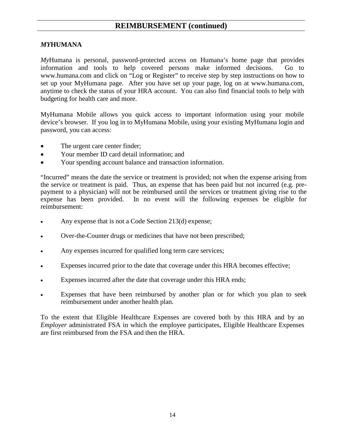#### <span id="page-13-0"></span>*MY***HUMANA**

*My*Humana is personal, password-protected access on Humana's home page that provides information and tools to help covered persons make informed decisions. Go to www.humana.com and click on "Log or Register" to receive step by step instructions on how to set up your MyHumana page. After you have set up your page, log on at www.humana.com, anytime to check the status of your HRA account. You can also find financial tools to help with budgeting for health care and more.

MyHumana Mobile allows you quick access to important information using your mobile device's browser. If you log in to MyHumana Mobile, using your existing MyHumana login and password, you can access:

- The urgent care center finder;
- Your member ID card detail information; and
- Your spending account balance and transaction information.

"Incurred" means the date the service or treatment is provided; not when the expense arising from the service or treatment is paid. Thus, an expense that has been paid but not incurred (e.g. prepayment to a physician) will not be reimbursed until the services or treatment giving rise to the expense has been provided. In no event will the following expenses be eligible for reimbursement:

- Any expense that is not a Code Section 213(d) expense;
- Over-the-Counter drugs or medicines that have not been prescribed;
- Any expenses incurred for qualified long term care services;
- Expenses incurred prior to the date that coverage under this HRA becomes effective;
- Expenses incurred after the date that coverage under this HRA ends;
- Expenses that have been reimbursed by another plan or for which you plan to seek reimbursement under another health plan.

To the extent that Eligible Healthcare Expenses are covered both by this HRA and by an *Employer* administrated FSA in which the employee participates, Eligible Healthcare Expenses are first reimbursed from the FSA and then the HRA.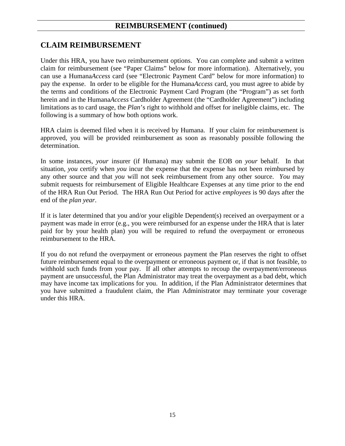# <span id="page-14-0"></span>**CLAIM REIMBURSEMENT**

Under this HRA, you have two reimbursement options. You can complete and submit a written claim for reimbursement (see "Paper Claims" below for more information). Alternatively, you can use a Humana*Access* card (see "Electronic Payment Card" below for more information) to pay the expense. In order to be eligible for the Humana*Access* card, you must agree to abide by the terms and conditions of the Electronic Payment Card Program (the "Program") as set forth herein and in the Humana*Access* Cardholder Agreement (the "Cardholder Agreement") including limitations as to card usage, the *Plan*'s right to withhold and offset for ineligible claims, etc. The following is a summary of how both options work.

HRA claim is deemed filed when it is received by Humana. If your claim for reimbursement is approved, you will be provided reimbursement as soon as reasonably possible following the determination.

In some instances, *your* insurer (if Humana) may submit the EOB on *your* behalf. In that situation, *you* certify when *you* incur the expense that the expense has not been reimbursed by any other source and that *you* will not seek reimbursement from any other source. *You* may submit requests for reimbursement of Eligible Healthcare Expenses at any time prior to the end of the HRA Run Out Period. The HRA Run Out Period for active *employees* is 90 days after the end of the *plan year*.

If it is later determined that you and/or your eligible Dependent(s) received an overpayment or a payment was made in error (e.g., you were reimbursed for an expense under the HRA that is later paid for by your health plan) you will be required to refund the overpayment or erroneous reimbursement to the HRA.

If you do not refund the overpayment or erroneous payment the Plan reserves the right to offset future reimbursement equal to the overpayment or erroneous payment or, if that is not feasible, to withhold such funds from your pay. If all other attempts to recoup the overpayment/erroneous payment are unsuccessful, the Plan Administrator may treat the overpayment as a bad debt, which may have income tax implications for you. In addition, if the Plan Administrator determines that you have submitted a fraudulent claim, the Plan Administrator may terminate your coverage under this HRA.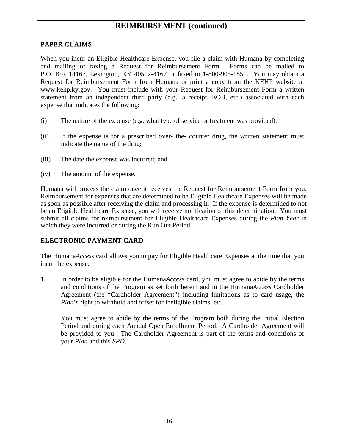### PAPER CLAIMS

When you incur an Eligible Healthcare Expense, you file a claim with Humana by completing and mailing or faxing a Request for Reimbursement Form. Forms can be mailed to P.O. Box 14167, Lexington, KY 40512-4167 or faxed to 1-800-905-1851. You may obtain a Request for Reimbursement Form from Humana or print a copy from the KEHP website at www.kehp.ky.gov. You must include with your Request for Reimbursement Form a written statement from an independent third party (e.g., a receipt, EOB, etc.) associated with each expense that indicates the following:

- (i) The nature of the expense (e.g. what type of service or treatment was provided).
- (ii) If the expense is for a prescribed over- the- counter drug, the written statement must indicate the name of the drug;
- (iii) The date the expense was incurred; and
- (iv) The amount of the expense.

Humana will process the claim once it receives the Request for Reimbursement Form from you. Reimbursement for expenses that are determined to be Eligible Healthcare Expenses will be made as soon as possible after receiving the claim and processing it. If the expense is determined to not be an Eligible Healthcare Expense, you will receive notification of this determination. You must submit all claims for reimbursement for Eligible Healthcare Expenses during the *Plan Year* in which they were incurred or during the Run Out Period.

### ELECTRONIC PAYMENT CARD

The Humana*Access* card allows you to pay for Eligible Healthcare Expenses at the time that you incur the expense.

1. In order to be eligible for the Humana*Access* card, you must agree to abide by the terms and conditions of the Program as set forth herein and in the Humana*Access* Cardholder Agreement (the "Cardholder Agreement") including limitations as to card usage, the *Plan*'s right to withhold and offset for ineligible claims, etc.

You must agree to abide by the terms of the Program both during the Initial Election Period and during each Annual Open Enrollment Period. A Cardholder Agreement will be provided to you. The Cardholder Agreement is part of the terms and conditions of your *Plan* and this *SPD*.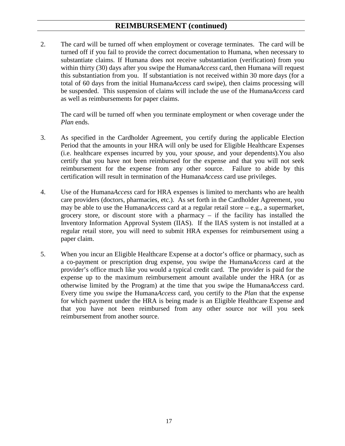2. The card will be turned off when employment or coverage terminates. The card will be turned off if you fail to provide the correct documentation to Humana, when necessary to substantiate claims. If Humana does not receive substantiation (verification) from you within thirty (30) days after you swipe the Humana*Access* card, then Humana will request this substantiation from you. If substantiation is not received within 30 more days (for a total of 60 days from the initial Humana*Access* card swipe), then claims processing will be suspended. This suspension of claims will include the use of the Humana*Access* card as well as reimbursements for paper claims.

The card will be turned off when you terminate employment or when coverage under the *Plan* ends.

- 3. As specified in the Cardholder Agreement, you certify during the applicable Election Period that the amounts in your HRA will only be used for Eligible Healthcare Expenses (i.e. healthcare expenses incurred by you, your *spouse*, and your dependents).You also certify that you have not been reimbursed for the expense and that you will not seek reimbursement for the expense from any other source. Failure to abide by this certification will result in termination of the Humana*Access* card use privileges.
- 4. Use of the Humana*Access* card for HRA expenses is limited to merchants who are health care providers (doctors, pharmacies, etc.). As set forth in the Cardholder Agreement, you may be able to use the Humana*Access* card at a regular retail store – e.g., a supermarket, grocery store, or discount store with a pharmacy – if the facility has installed the Inventory Information Approval System (IIAS). If the IIAS system is not installed at a regular retail store, you will need to submit HRA expenses for reimbursement using a paper claim.
- 5. When you incur an Eligible Healthcare Expense at a doctor's office or pharmacy, such as a co-payment or prescription drug expense, you swipe the Humana*Access* card at the provider's office much like you would a typical credit card. The provider is paid for the expense up to the maximum reimbursement amount available under the HRA (or as otherwise limited by the Program) at the time that you swipe the Humana*Access* card. Every time you swipe the Humana*Access* card, you certify to the *Plan* that the expense for which payment under the HRA is being made is an Eligible Healthcare Expense and that you have not been reimbursed from any other source nor will you seek reimbursement from another source.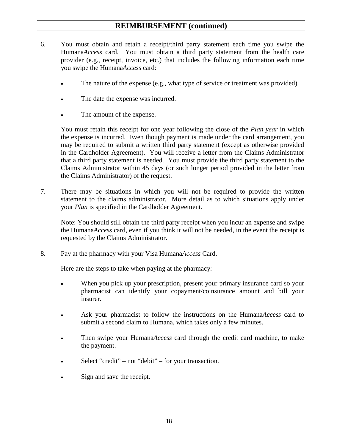- 6. You must obtain and retain a receipt/third party statement each time you swipe the Humana*Access* card. You must obtain a third party statement from the health care provider (e.g., receipt, invoice, etc.) that includes the following information each time you swipe the Humana*Access* card:
	- The nature of the expense (e.g., what type of service or treatment was provided).
	- The date the expense was incurred.
	- The amount of the expense.

You must retain this receipt for one year following the close of the *Plan year* in which the expense is incurred. Even though payment is made under the card arrangement, you may be required to submit a written third party statement (except as otherwise provided in the Cardholder Agreement). You will receive a letter from the Claims Administrator that a third party statement is needed. You must provide the third party statement to the Claims Administrator within 45 days (or such longer period provided in the letter from the Claims Administrator) of the request.

7. There may be situations in which you will not be required to provide the written statement to the claims administrator. More detail as to which situations apply under your *Plan* is specified in the Cardholder Agreement.

Note: You should still obtain the third party receipt when you incur an expense and swipe the Humana*Access* card, even if you think it will not be needed, in the event the receipt is requested by the Claims Administrator.

8. Pay at the pharmacy with your Visa Humana*Access* Card.

Here are the steps to take when paying at the pharmacy:

- When you pick up your prescription, present your primary insurance card so your pharmacist can identify your copayment/coinsurance amount and bill your insurer.
- Ask your pharmacist to follow the instructions on the Humana*Access* card to submit a second claim to Humana, which takes only a few minutes.
- Then swipe your Humana*Access* card through the credit card machine, to make the payment.
- Select "credit" not "debit" for your transaction.
- Sign and save the receipt.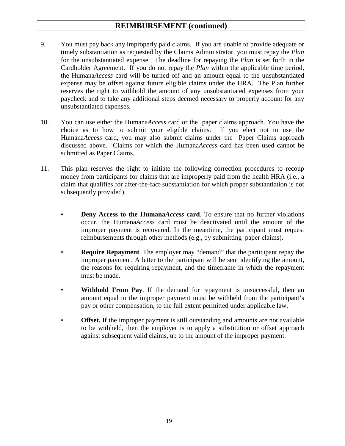- 9. You must pay back any improperly paid claims. If you are unable to provide adequate or timely substantiation as requested by the Claims Administrator, you must repay the *Plan* for the unsubstantiated expense. The deadline for repaying the *Plan* is set forth in the Cardholder Agreement. If you do not repay the *Plan* within the applicable time period, the Humana*Access* card will be turned off and an amount equal to the unsubstantiated expense may be offset against future eligible claims under the HRA. The Plan further reserves the right to withhold the amount of any unsubstantiated expenses from your paycheck and to take any additional steps deemed necessary to properly account for any unsubstantiated expenses.
- 10. You can use either the Humana*Access* card or the paper claims approach. You have the choice as to how to submit your eligible claims. If you elect not to use the Humana*Access* card, you may also submit claims under the Paper Claims approach discussed above. Claims for which the Humana*Access* card has been used cannot be submitted as Paper Claims.
- 11. This plan reserves the right to initiate the following correction procedures to recoup money from participants for claims that are improperly paid from the health HRA (i.e., a claim that qualifies for after-the-fact-substantiation for which proper substantiation is not subsequently provided).
	- **Deny Access to the Humana***Access* **card**. To ensure that no further violations occur, the Humana*Access* card must be deactivated until the amount of the improper payment is recovered. In the meantime, the participant must request reimbursements through other methods (e.g., by submitting paper claims).
	- **Require Repayment**. The employer may "demand" that the participant repay the improper payment. A letter to the participant will be sent identifying the amount, the reasons for requiring repayment, and the timeframe in which the repayment must be made.
	- **Withhold From Pay.** If the demand for repayment is unsuccessful, then an amount equal to the improper payment must be withheld from the participant's pay or other compensation, to the full extent permitted under applicable law.
	- **Offset.** If the improper payment is still outstanding and amounts are not available to be withheld, then the employer is to apply a substitution or offset approach against subsequent valid claims, up to the amount of the improper payment.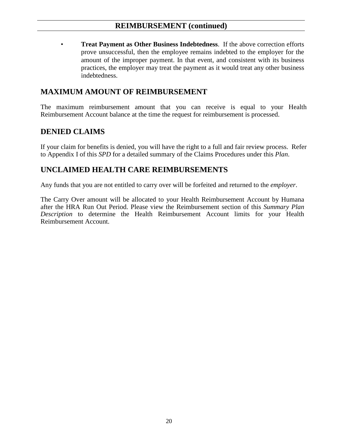<span id="page-19-0"></span>• **Treat Payment as Other Business Indebtedness**. If the above correction efforts prove unsuccessful, then the employee remains indebted to the employer for the amount of the improper payment. In that event, and consistent with its business practices, the employer may treat the payment as it would treat any other business indebtedness.

# **MAXIMUM AMOUNT OF REIMBURSEMENT**

The maximum reimbursement amount that you can receive is equal to your Health Reimbursement Account balance at the time the request for reimbursement is processed.

### <span id="page-19-1"></span>**DENIED CLAIMS**

If your claim for benefits is denied, you will have the right to a full and fair review process. Refer to Appendix I of this *SPD* for a detailed summary of the Claims Procedures under this *Plan*.

# <span id="page-19-2"></span>**UNCLAIMED HEALTH CARE REIMBURSEMENTS**

Any funds that you are not entitled to carry over will be forfeited and returned to the *employer*.

The Carry Over amount will be allocated to your Health Reimbursement Account by Humana after the HRA Run Out Period. Please view the Reimbursement section of this *Summary Plan Description* to determine the Health Reimbursement Account limits for your Health Reimbursement Account.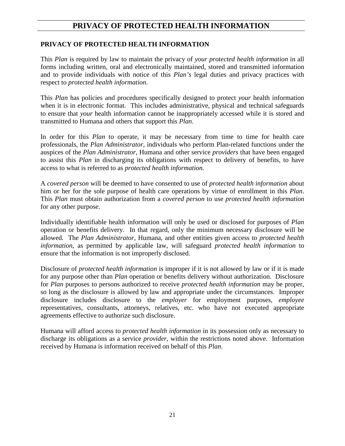# **PRIVACY OF PROTECTED HEALTH INFORMATION**

### <span id="page-20-0"></span>**PRIVACY OF PROTECTED HEALTH INFORMATION**

This *Plan* is required by law to maintain the privacy of *your protected health information* in all forms including written, oral and electronically maintained, stored and transmitted information and to provide individuals with notice of this *Plan's* legal duties and privacy practices with respect to *protected health information*.

This *Plan* has policies and procedures specifically designed to protect *your* health information when it is in electronic format. This includes administrative, physical and technical safeguards to ensure that *your* health information cannot be inappropriately accessed while it is stored and transmitted to Humana and others that support this *Plan*.

In order for this *Plan* to operate, it may be necessary from time to time for health care professionals, the *Plan Administrator*, individuals who perform Plan-related functions under the auspices of the *Plan Administrator*, Humana and other service *providers* that have been engaged to assist this *Plan* in discharging its obligations with respect to delivery of benefits, to have access to what is referred to as *protected health information*.

A *covered person* will be deemed to have consented to use of *protected health information* about him or her for the sole purpose of health care operations by virtue of enrollment in this *Plan*. This *Plan* must obtain authorization from a *covered person* to use *protected health information* for any other purpose.

Individually identifiable health information will only be used or disclosed for purposes of *Plan* operation or benefits delivery. In that regard, only the minimum necessary disclosure will be allowed. The *Plan Administrator*, Humana, and other entities given access to *protected health information*, as permitted by applicable law, will safeguard *protected health information* to ensure that the information is not improperly disclosed.

Disclosure of *protected health information* is improper if it is not allowed by law or if it is made for any purpose other than *Plan* operation or benefits delivery without authorization. Disclosure for *Plan* purposes to persons authorized to receive *protected health information* may be proper, so long as the disclosure is allowed by law and appropriate under the circumstances. Improper disclosure includes disclosure to the *employer* for employment purposes, *employee* representatives, consultants, attorneys, relatives, etc. who have not executed appropriate agreements effective to authorize such disclosure.

Humana will afford access to *protected health information* in its possession only as necessary to discharge its obligations as a service *provider*, within the restrictions noted above. Information received by Humana is information received on behalf of this *Plan*.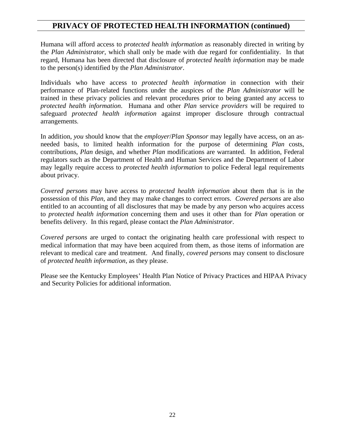# **PRIVACY OF PROTECTED HEALTH INFORMATION (continued)**

Humana will afford access to *protected health information* as reasonably directed in writing by the *Plan Administrator*, which shall only be made with due regard for confidentiality. In that regard, Humana has been directed that disclosure of *protected health information* may be made to the person(s) identified by the *Plan Administrator*.

Individuals who have access to *protected health information* in connection with their performance of Plan-related functions under the auspices of the *Plan Administrator* will be trained in these privacy policies and relevant procedures prior to being granted any access to *protected health information*. Humana and other *Plan* service *providers* will be required to safeguard *protected health information* against improper disclosure through contractual arrangements.

In addition, *you* should know that the *employer*/*Plan Sponsor* may legally have access, on an asneeded basis, to limited health information for the purpose of determining *Plan* costs, contributions, *Plan* design, and whether *Plan* modifications are warranted. In addition, Federal regulators such as the Department of Health and Human Services and the Department of Labor may legally require access to *protected health information* to police Federal legal requirements about privacy.

*Covered persons* may have access to *protected health information* about them that is in the possession of this *Plan*, and they may make changes to correct errors. *Covered persons* are also entitled to an accounting of all disclosures that may be made by any person who acquires access to *protected health information* concerning them and uses it other than for *Plan* operation or benefits delivery. In this regard, please contact the *Plan Administrator*.

*Covered persons* are urged to contact the originating health care professional with respect to medical information that may have been acquired from them, as those items of information are relevant to medical care and treatment. And finally, *covered persons* may consent to disclosure of *protected health information*, as they please.

Please see the Kentucky Employees' Health Plan Notice of Privacy Practices and HIPAA Privacy and Security Policies for additional information.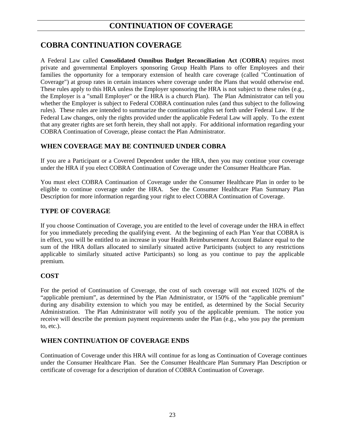# <span id="page-22-1"></span>**CONTINUATION OF COVERAGE**

# <span id="page-22-0"></span>**COBRA CONTINUATION COVERAGE**

A Federal Law called **Consolidated Omnibus Budget Reconciliation Act** (**COBRA**) requires most private and governmental Employers sponsoring Group Health Plans to offer Employees and their families the opportunity for a temporary extension of health care coverage (called "Continuation of Coverage") at group rates in certain instances where coverage under the Plans that would otherwise end. These rules apply to this HRA unless the Employer sponsoring the HRA is not subject to these rules (e.g., the Employer is a "small Employer" or the HRA is a church Plan). The Plan Administrator can tell you whether the Employer is subject to Federal COBRA continuation rules (and thus subject to the following rules). These rules are intended to summarize the continuation rights set forth under Federal Law. If the Federal Law changes, only the rights provided under the applicable Federal Law will apply. To the extent that any greater rights are set forth herein, they shall not apply. For additional information regarding your COBRA Continuation of Coverage, please contact the Plan Administrator.

### **WHEN COVERAGE MAY BE CONTINUED UNDER COBRA**

If you are a Participant or a Covered Dependent under the HRA, then you may continue your coverage under the HRA if you elect COBRA Continuation of Coverage under the Consumer Healthcare Plan.

You must elect COBRA Continuation of Coverage under the Consumer Healthcare Plan in order to be eligible to continue coverage under the HRA. See the Consumer Healthcare Plan Summary Plan Description for more information regarding your right to elect COBRA Continuation of Coverage.

### **TYPE OF COVERAGE**

If you choose Continuation of Coverage, you are entitled to the level of coverage under the HRA in effect for you immediately preceding the qualifying event. At the beginning of each Plan Year that COBRA is in effect, you will be entitled to an increase in your Health Reimbursement Account Balance equal to the sum of the HRA dollars allocated to similarly situated active Participants (subject to any restrictions applicable to similarly situated active Participants) so long as you continue to pay the applicable premium.

### **COST**

For the period of Continuation of Coverage, the cost of such coverage will not exceed 102% of the "applicable premium", as determined by the Plan Administrator, or 150% of the "applicable premium" during any disability extension to which you may be entitled, as determined by the Social Security Administration. The Plan Administrator will notify you of the applicable premium. The notice you receive will describe the premium payment requirements under the Plan (e.g., who you pay the premium to, etc.).

### **WHEN CONTINUATION OF COVERAGE ENDS**

Continuation of Coverage under this HRA will continue for as long as Continuation of Coverage continues under the Consumer Healthcare Plan. See the Consumer Healthcare Plan Summary Plan Description or certificate of coverage for a description of duration of COBRA Continuation of Coverage.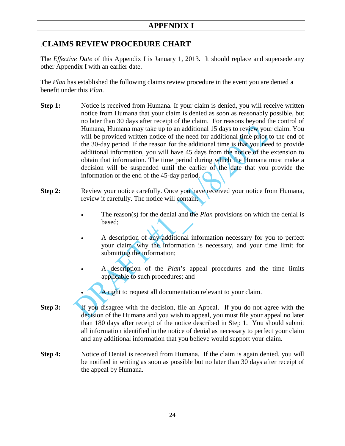# <span id="page-23-1"></span><span id="page-23-0"></span>.**CLAIMS REVIEW PROCEDURE CHART**

The *Effective Date* of this Appendix I is January 1, 2013. It should replace and supersede any other Appendix I with an earlier date.

The *Plan* has established the following claims review procedure in the event you are denied a benefit under this *Plan*.

- **Step 1:** Notice is received from Humana. If your claim is denied, you will receive written notice from Humana that your claim is denied as soon as reasonably possible, but no later than 30 days after receipt of the claim. For reasons beyond the control of Humana, Humana may take up to an additional 15 days to review your claim. You will be provided written notice of the need for additional time prior to the end of the 30-day period. If the reason for the additional time is that you need to provide additional information, you will have 45 days from the notice of the extension to obtain that information. The time period during which the Humana must make a decision will be suspended until the earlier of the date that you provide the information or the end of the 45-day period.
- **Step 2:** Review your notice carefully. Once you have received your notice from Humana, review it carefully. The notice will contain:
	- The reason(s) for the denial and the *Plan* provisions on which the denial is based;
	- A description of any additional information necessary for you to perfect your claim, why the information is necessary, and your time limit for submitting the information;
	- A description of the *Plan*'s appeal procedures and the time limits applicable to such procedures; and
	- A right to request all documentation relevant to your claim.
- **Step 3:** If you disagree with the decision, file an Appeal. If you do not agree with the decision of the Humana and you wish to appeal, you must file your appeal no later than 180 days after receipt of the notice described in Step 1. You should submit all information identified in the notice of denial as necessary to perfect your claim and any additional information that you believe would support your claim.
- **Step 4:** Notice of Denial is received from Humana. If the claim is again denied, you will be notified in writing as soon as possible but no later than 30 days after receipt of the appeal by Humana.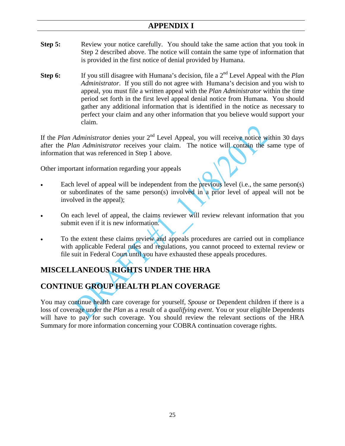# **APPENDIX I**

- **Step 5:** Review your notice carefully. You should take the same action that you took in Step 2 described above. The notice will contain the same type of information that is provided in the first notice of denial provided by Humana.
- **Step 6:** If you still disagree with Humana's decision, file a 2<sup>nd</sup> Level Appeal with the *Plan Administrator*. If you still do not agree with Humana's decision and you wish to appeal, you must file a written appeal with the *Plan Administrator* within the time period set forth in the first level appeal denial notice from Humana. You should gather any additional information that is identified in the notice as necessary to perfect your claim and any other information that you believe would support your claim.

If the *Plan Administrator* denies your 2<sup>nd</sup> Level Appeal, you will receive notice within 30 days after the *Plan Administrator* receives your claim. The notice will contain the same type of information that was referenced in Step 1 above.

Other important information regarding your appeals

- Each level of appeal will be independent from the previous level (i.e., the same person(s) or subordinates of the same person(s) involved in a prior level of appeal will not be involved in the appeal);
- On each level of appeal, the claims reviewer will review relevant information that you submit even if it is new information.
- To the extent these claims review and appeals procedures are carried out in compliance with applicable Federal rules and regulations, you cannot proceed to external review or file suit in Federal Court until you have exhausted these appeals procedures.

# <span id="page-24-0"></span>**MISCELLANEOUS RIGHTS UNDER THE HRA**

# **CONTINUE GROUP HEALTH PLAN COVERAGE**

You may continue health care coverage for yourself, *Spouse* or Dependent children if there is a loss of coverage under the *Plan* as a result of a *qualifying event*. You or your eligible Dependents will have to pay for such coverage. You should review the relevant sections of the HRA Summary for more information concerning your COBRA continuation coverage rights.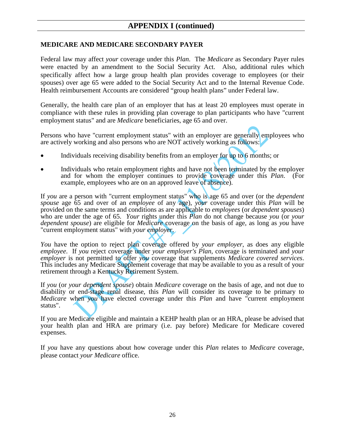### <span id="page-25-0"></span>**MEDICARE AND MEDICARE SECONDARY PAYER**

Federal law may affect *your* coverage under this *Plan*. The *Medicare* as Secondary Payer rules were enacted by an amendment to the Social Security Act. Also, additional rules which specifically affect how a large group health plan provides coverage to employees (or their spouses) over age 65 were added to the Social Security Act and to the Internal Revenue Code. Health reimbursement Accounts are considered "group health plans" under Federal law.

Generally, the health care plan of an employer that has at least 20 employees must operate in compliance with these rules in providing plan coverage to plan participants who have "current employment status" and are *Medicare* beneficiaries, age 65 and over.

Persons who have "current employment status" with an employer are generally employees who are actively working and also persons who are NOT actively working as follows:

- Individuals receiving disability benefits from an employer for up to 6 months; or
- Individuals who retain employment rights and have not been terminated by the employer and for whom the employer continues to provide coverage under this *Plan*. (For example, employees who are on an approved leave of absence).

If *you* are a person with "current employment status" who is age 65 and over (or the *dependent spouse* age 65 and over of an *employee* of any age), *your* coverage under this *Plan* will be provided on the same terms and conditions as are applicable to *employees* (or *dependent spouses*) who are under the age of 65. *Your* rights under this *Plan* do not change because *you* (or *your dependent spouse*) are eligible for *Medicare* coverage on the basis of age, as long as *you* have "current employment status" with *your employer*.

*You* have the option to reject plan coverage offered by *your employer*, as does any eligible *employee*. If *you* reject coverage under *your employer's Plan*, coverage is terminated and *your employer* is not permitted to offer *you* coverage that supplements *Medicare covered services*. This includes any Medicare Supplement coverage that may be available to you as a result of your retirement through a Kentucky Retirement System.

If *you* (or *your dependent spouse*) obtain *Medicare* coverage on the basis of age, and not due to disability or end-stage renal disease, this *Plan* will consider its coverage to be primary to *Medicare* when *you* have elected coverage under this *Plan* and have "current employment status".

If you are Medicare eligible and maintain a KEHP health plan or an HRA, please be advised that your health plan and HRA are primary (i.e. pay before) Medicare for Medicare covered expenses.

If *you* have any questions about how coverage under this *Plan* relates to *Medicare* coverage, please contact *your Medicare* office.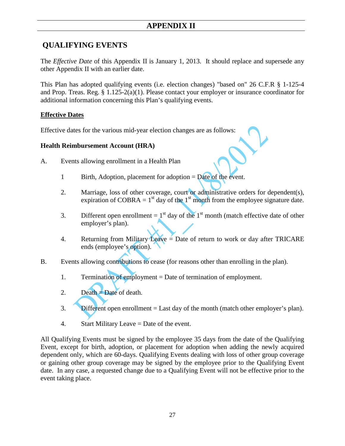# <span id="page-26-0"></span>**QUALIFYING EVENTS**

The *Effective Date* of this Appendix II is January 1, 2013. It should replace and supersede any other Appendix II with an earlier date.

This Plan has adopted qualifying events (i.e. election changes) "based on" 26 C.F.R § 1-125-4 and Prop. Treas. Reg. § 1.125-2(a)(1). Please contact your employer or insurance coordinator for additional information concerning this Plan's qualifying events.

### **Effective Dates**

Effective dates for the various mid-year election changes are as follows:

### **Health Reimbursement Account (HRA)**

- A. Events allowing enrollment in a Health Plan
	- 1 Birth, Adoption, placement for adoption = Date of the event.
	- 2. Marriage, loss of other coverage, court or administrative orders for dependent(s), expiration of COBRA =  $1<sup>st</sup>$  day of the  $1<sup>st</sup>$  month from the employee signature date.
	- 3. Different open enrollment =  $1<sup>st</sup>$  day of the  $1<sup>st</sup>$  month (match effective date of other employer's plan).
	- 4. Returning from Military Leave  $=$  Date of return to work or day after TRICARE ends (employee's option).
- B. Events allowing contributions to cease (for reasons other than enrolling in the plan).
	- 1. Termination of employment = Date of termination of employment.
	- 2. Death  $=$  Date of death.
	- 3. Different open enrollment  $=$  Last day of the month (match other employer's plan).
	- 4. Start Military Leave = Date of the event.

All Qualifying Events must be signed by the employee 35 days from the date of the Qualifying Event, except for birth, adoption, or placement for adoption when adding the newly acquired dependent only, which are 60-days. Qualifying Events dealing with loss of other group coverage or gaining other group coverage may be signed by the employee prior to the Qualifying Event date. In any case, a requested change due to a Qualifying Event will not be effective prior to the event taking place.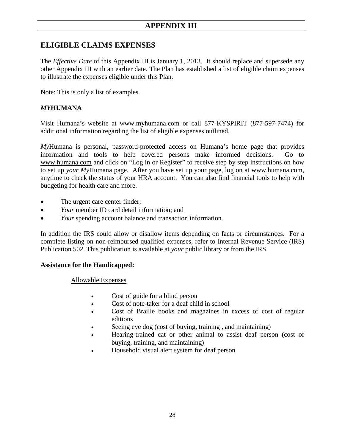# <span id="page-27-0"></span>**ELIGIBLE CLAIMS EXPENSES**

The *Effective Date* of this Appendix III is January 1, 2013. It should replace and supersede any other Appendix III with an earlier date. The Plan has established a list of eligible claim expenses to illustrate the expenses eligible under this Plan.

Note: This is only a list of examples.

### *MY***HUMANA**

Visit Humana's website at www.myhumana.com or call 877-KYSPIRIT (877-597-7474) for additional information regarding the list of eligible expenses outlined.

*My*Humana is personal, password-protected access on Humana's home page that provides information and tools to help covered persons make informed decisions. Go to [www.humana.com](http://www.humana.com/) and click on "Log in or Register" to receive step by step instructions on how to set up *your My*Humana page. After you have set up your page, log on at www.humana.com, anytime to check the status of your HRA account. You can also find financial tools to help with budgeting for health care and more.

- The urgent care center finder;
- *Your* member ID card detail information; and
- *Your* spending account balance and transaction information.

In addition the IRS could allow or disallow items depending on facts or circumstances. For a complete listing on non-reimbursed qualified expenses, refer to Internal Revenue Service (IRS) Publication 502. This publication is available at *your* public library or from the IRS.

### **Assistance for the Handicapped:**

Allowable Expenses

- Cost of guide for a blind person
- Cost of note-taker for a deaf child in school
- Cost of Braille books and magazines in excess of cost of regular editions
- Seeing eye dog (cost of buying, training, and maintaining)
- Hearing-trained cat or other animal to assist deaf person (cost of buying, training, and maintaining)
- Household visual alert system for deaf person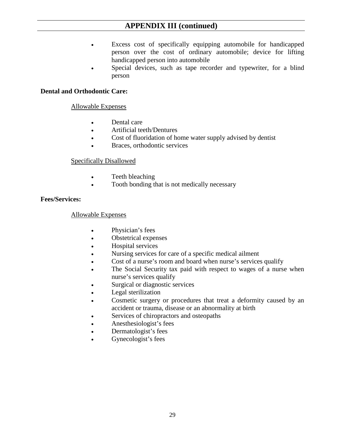# **APPENDIX III (continued)**

- Excess cost of specifically equipping automobile for handicapped person over the cost of ordinary automobile; device for lifting handicapped person into automobile
- Special devices, such as tape recorder and typewriter, for a blind person

### **Dental and Orthodontic Care:**

### Allowable Expenses

- Dental care
- Artificial teeth/Dentures
- Cost of fluoridation of home water supply advised by dentist
- Braces, orthodontic services

### Specifically Disallowed

- Teeth bleaching
- Tooth bonding that is not medically necessary

### **Fees/Services:**

#### Allowable Expenses

- Physician's fees
- Obstetrical expenses
- Hospital services
- Nursing services for care of a specific medical ailment
- Cost of a nurse's room and board when nurse's services qualify
- The Social Security tax paid with respect to wages of a nurse when nurse's services qualify
- Surgical or diagnostic services
- Legal sterilization
- Cosmetic surgery or procedures that treat a deformity caused by an accident or trauma, disease or an abnormality at birth
- Services of chiropractors and osteopaths
- Anesthesiologist's fees
- Dermatologist's fees
- Gynecologist's fees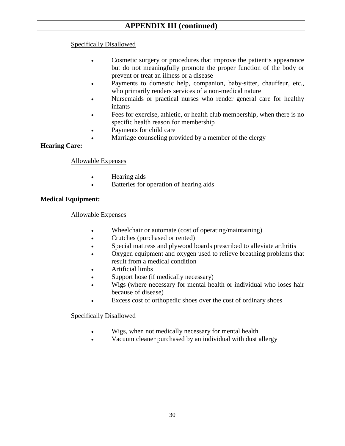### Specifically Disallowed

- Cosmetic surgery or procedures that improve the patient's appearance but do not meaningfully promote the proper function of the body or prevent or treat an illness or a disease
- Payments to domestic help, companion, baby-sitter, chauffeur, etc., who primarily renders services of a non-medical nature
- Nursemaids or practical nurses who render general care for healthy infants
- Fees for exercise, athletic, or health club membership, when there is no specific health reason for membership
- Payments for child care
- Marriage counseling provided by a member of the clergy

### **Hearing Care:**

### Allowable Expenses

- Hearing aids
- Batteries for operation of hearing aids

### **Medical Equipment:**

### Allowable Expenses

- Wheelchair or automate (cost of operating/maintaining)
- Crutches (purchased or rented)
- Special mattress and plywood boards prescribed to alleviate arthritis
- Oxygen equipment and oxygen used to relieve breathing problems that result from a medical condition
- Artificial limbs
- Support hose (if medically necessary)
- Wigs (where necessary for mental health or individual who loses hair because of disease)
- Excess cost of orthopedic shoes over the cost of ordinary shoes

### Specifically Disallowed

- Wigs, when not medically necessary for mental health
- Vacuum cleaner purchased by an individual with dust allergy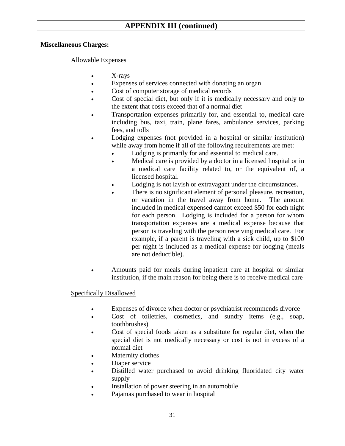### **Miscellaneous Charges:**

### Allowable Expenses

- X-rays
- Expenses of services connected with donating an organ
- Cost of computer storage of medical records
- Cost of special diet, but only if it is medically necessary and only to the extent that costs exceed that of a normal diet
- Transportation expenses primarily for, and essential to, medical care including bus, taxi, train, plane fares, ambulance services, parking fees, and tolls
- Lodging expenses (not provided in a hospital or similar institution) while away from home if all of the following requirements are met:
	- Lodging is primarily for and essential to medical care.
	- Medical care is provided by a doctor in a licensed hospital or in a medical care facility related to, or the equivalent of, a licensed hospital.
	- Lodging is not lavish or extravagant under the circumstances.
	- There is no significant element of personal pleasure, recreation, or vacation in the travel away from home. The amount included in medical expensed cannot exceed \$50 for each night for each person. Lodging is included for a person for whom transportation expenses are a medical expense because that person is traveling with the person receiving medical care. For example, if a parent is traveling with a sick child, up to \$100 per night is included as a medical expense for lodging (meals are not deductible).
- Amounts paid for meals during inpatient care at hospital or similar institution, if the main reason for being there is to receive medical care

### Specifically Disallowed

- Expenses of divorce when doctor or psychiatrist recommends divorce
- Cost of toiletries, cosmetics, and sundry items (e.g., soap, toothbrushes)
- Cost of special foods taken as a substitute for regular diet, when the special diet is not medically necessary or cost is not in excess of a normal diet
- Maternity clothes
- Diaper service
- Distilled water purchased to avoid drinking fluoridated city water supply
- Installation of power steering in an automobile
- Pajamas purchased to wear in hospital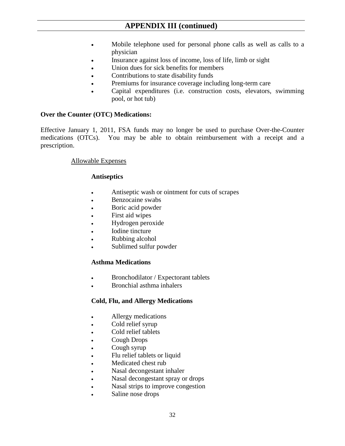- Mobile telephone used for personal phone calls as well as calls to a physician
- Insurance against loss of income, loss of life, limb or sight
- Union dues for sick benefits for members
- Contributions to state disability funds
- Premiums for insurance coverage including long-term care
- Capital expenditures (i.e. construction costs, elevators, swimming pool, or hot tub)

### **Over the Counter (OTC) Medications:**

Effective January 1, 2011, FSA funds may no longer be used to purchase Over-the-Counter medications (OTCs). You may be able to obtain reimbursement with a receipt and a prescription.

### Allowable Expenses

### **Antiseptics**

- Antiseptic wash or ointment for cuts of scrapes
- Benzocaine swabs
- Boric acid powder
- First aid wipes
- Hydrogen peroxide
- Iodine tincture
- Rubbing alcohol
- Sublimed sulfur powder

#### **Asthma Medications**

- Bronchodilator / Expectorant tablets
- Bronchial asthma inhalers

### **Cold, Flu, and Allergy Medications**

- Allergy medications
- Cold relief syrup
- Cold relief tablets
- Cough Drops
- Cough syrup
- Flu relief tablets or liquid
- Medicated chest rub
- Nasal decongestant inhaler
- Nasal decongestant spray or drops
- Nasal strips to improve congestion
- Saline nose drops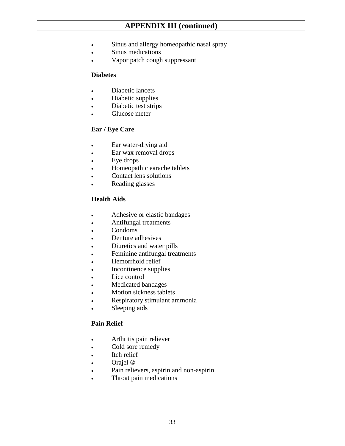- Sinus and allergy homeopathic nasal spray
- Sinus medications
- Vapor patch cough suppressant

### **Diabetes**

- Diabetic lancets
- Diabetic supplies
- Diabetic test strips
- Glucose meter

### **Ear / Eye Care**

- Ear water-drying aid
- Ear wax removal drops
- Eye drops
- Homeopathic earache tablets
- Contact lens solutions
- Reading glasses

### **Health Aids**

- Adhesive or elastic bandages
- Antifungal treatments
- Condoms
- Denture adhesives
- Diuretics and water pills
- Feminine antifungal treatments
- Hemorrhoid relief
- Incontinence supplies
- Lice control
- Medicated bandages
- Motion sickness tablets
- Respiratory stimulant ammonia
- Sleeping aids

### **Pain Relief**

- Arthritis pain reliever
- Cold sore remedy
- Itch relief
- Orajel ®
- Pain relievers, aspirin and non-aspirin
- Throat pain medications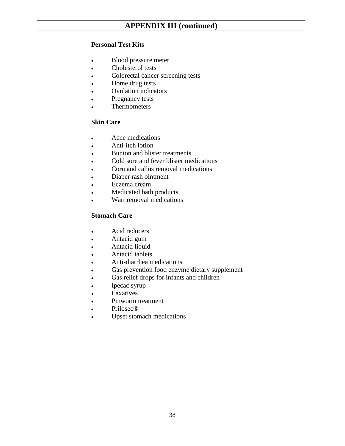### **Personal Test Kits**

- Blood pressure meter
- Cholesterol tests
- Colorectal cancer screening tests
- Home drug tests
- Ovulation indicators
- Pregnancy tests
- Thermometers

### **Skin Care**

- Acne medications
- **Anti-itch lotion**
- Bunion and blister treatments
- Cold sore and fever blister medications
- Corn and callus removal medications
- Diaper rash ointment
- Eczema cream
- Medicated bath products
- Wart removal medications

### **Stomach Care**

- Acid reducers
- Antacid gum
- Antacid liquid
- Antacid tablets
- Anti-diarrhea medications
- Gas prevention food enzyme dietary supplement
- Gas relief drops for infants and children
- Ipecac syrup
- Laxatives
- Pinworm treatment
- Prilosec®
- Upset stomach medications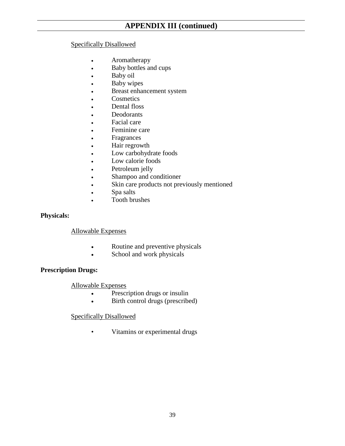### Specifically Disallowed

- Aromatherapy
- Baby bottles and cups
- Baby oil
- Baby wipes
- Breast enhancement system
- Cosmetics
- Dental floss
- Deodorants
- Facial care
- Feminine care
- Fragrances
- Hair regrowth
- Low carbohydrate foods
- Low calorie foods
- Petroleum jelly
- Shampoo and conditioner
- Skin care products not previously mentioned
- Spa salts
- Tooth brushes

#### **Physicals:**

Allowable Expenses

- Routine and preventive physicals
- School and work physicals

### **Prescription Drugs:**

#### Allowable Expenses

- Prescription drugs or insulin
- Birth control drugs (prescribed)

### Specifically Disallowed

• Vitamins or experimental drugs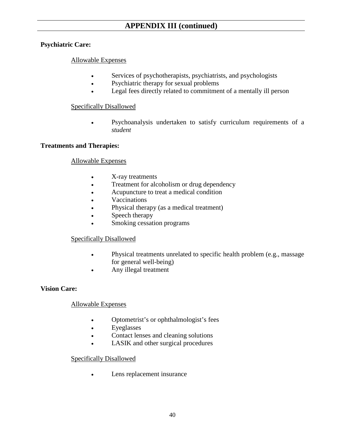### **Psychiatric Care:**

### Allowable Expenses

- Services of psychotherapists, psychiatrists, and psychologists
- Psychiatric therapy for sexual problems
- Legal fees directly related to commitment of a mentally ill person

### Specifically Disallowed

• Psychoanalysis undertaken to satisfy curriculum requirements of a *student*

### **Treatments and Therapies:**

### Allowable Expenses

- X-ray treatments
- Treatment for alcoholism or drug dependency
- Acupuncture to treat a medical condition
- Vaccinations
- Physical therapy (as a medical treatment)
- Speech therapy
- Smoking cessation programs

### Specifically Disallowed

- Physical treatments unrelated to specific health problem (e.g., massage for general well-being)
- Any illegal treatment

### **Vision Care:**

### Allowable Expenses

- Optometrist's or ophthalmologist's fees
- Eyeglasses
- Contact lenses and cleaning solutions
- LASIK and other surgical procedures

### Specifically Disallowed

• Lens replacement insurance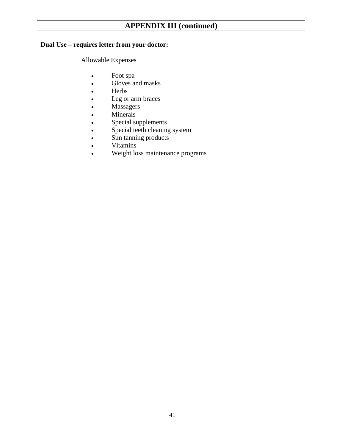# **APPENDIX III (continued)**

# **Dual Use – requires letter from your doctor:**

Allowable Expenses

- Foot spa
- Gloves and masks
- Herbs
- Leg or arm braces
- Massagers
- Minerals
- Special supplements
- Special teeth cleaning system
- Sun tanning products
- Vitamins
- Weight loss maintenance programs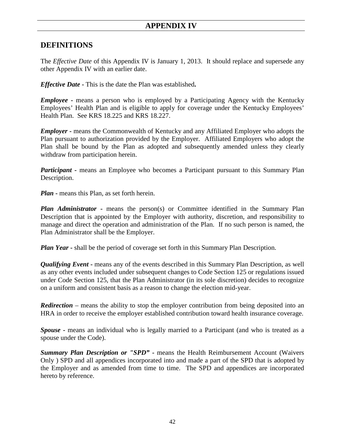# **APPENDIX IV**

### <span id="page-37-1"></span><span id="page-37-0"></span>**DEFINITIONS**

The *Effective Date* of this Appendix IV is January 1, 2013. It should replace and supersede any other Appendix IV with an earlier date.

*Effective Date* **-** This is the date the Plan was established**.** 

*Employee* **-** means a person who is employed by a Participating Agency with the Kentucky Employees' Health Plan and is eligible to apply for coverage under the Kentucky Employees' Health Plan. See KRS 18.225 and KRS 18.227.

*Employer* **-** means the Commonwealth of Kentucky and any Affiliated Employer who adopts the Plan pursuant to authorization provided by the Employer. Affiliated Employers who adopt the Plan shall be bound by the Plan as adopted and subsequently amended unless they clearly withdraw from participation herein.

*Participant* **-** means an Employee who becomes a Participant pursuant to this Summary Plan Description.

*Plan* **-** means this Plan, as set forth herein.

*Plan Administrator* **-** means the person(s) or Committee identified in the Summary Plan Description that is appointed by the Employer with authority, discretion, and responsibility to manage and direct the operation and administration of the Plan. If no such person is named, the Plan Administrator shall be the Employer.

*Plan Year* **-** shall be the period of coverage set forth in this Summary Plan Description.

*Qualifying Event* **-** means any of the events described in this Summary Plan Description, as well as any other events included under subsequent changes to Code Section 125 or regulations issued under Code Section 125, that the Plan Administrator (in its sole discretion) decides to recognize on a uniform and consistent basis as a reason to change the election mid-year.

*Redirection* – means the ability to stop the employer contribution from being deposited into an HRA in order to receive the employer established contribution toward health insurance coverage.

*Spouse* **-** means an individual who is legally married to a Participant (and who is treated as a spouse under the Code).

*Summary Plan Description or "SPD"* **-** means the Health Reimbursement Account (Waivers Only ) SPD and all appendices incorporated into and made a part of the SPD that is adopted by the Employer and as amended from time to time. The SPD and appendices are incorporated hereto by reference.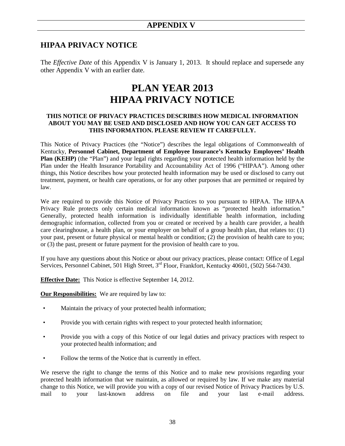## <span id="page-38-0"></span>**HIPAA PRIVACY NOTICE**

The *Effective Date* of this Appendix V is January 1, 2013. It should replace and supersede any other Appendix V with an earlier date.

# **PLAN YEAR 2013 HIPAA PRIVACY NOTICE**

#### **THIS NOTICE OF PRIVACY PRACTICES DESCRIBES HOW MEDICAL INFORMATION ABOUT YOU MAY BE USED AND DISCLOSED AND HOW YOU CAN GET ACCESS TO THIS INFORMATION. PLEASE REVIEW IT CAREFULLY.**

This Notice of Privacy Practices (the "Notice") describes the legal obligations of Commonwealth of Kentucky, **Personnel Cabinet, Department of Employee Insurance's Kentucky Employees' Health Plan (KEHP)** (the "Plan") and your legal rights regarding your protected health information held by the Plan under the Health Insurance Portability and Accountability Act of 1996 ("HIPAA"). Among other things, this Notice describes how your protected health information may be used or disclosed to carry out treatment, payment, or health care operations, or for any other purposes that are permitted or required by law.

We are required to provide this Notice of Privacy Practices to you pursuant to HIPAA. The HIPAA Privacy Rule protects only certain medical information known as "protected health information." Generally, protected health information is individually identifiable health information, including demographic information, collected from you or created or received by a health care provider, a health care clearinghouse, a health plan, or your employer on behalf of a group health plan, that relates to: (1) your past, present or future physical or mental health or condition; (2) the provision of health care to you; or (3) the past, present or future payment for the provision of health care to you.

If you have any questions about this Notice or about our privacy practices, please contact: Office of Legal Services, Personnel Cabinet, 501 High Street, 3<sup>rd</sup> Floor, Frankfort, Kentucky 40601, (502) 564-7430.

**Effective Date:** This Notice is effective September 14, 2012.

**Our Responsibilities:** We are required by law to:

- Maintain the privacy of your protected health information;
- Provide you with certain rights with respect to your protected health information;
- Provide you with a copy of this Notice of our legal duties and privacy practices with respect to your protected health information; and
- Follow the terms of the Notice that is currently in effect.

We reserve the right to change the terms of this Notice and to make new provisions regarding your protected health information that we maintain, as allowed or required by law. If we make any material change to this Notice, we will provide you with a copy of our revised Notice of Privacy Practices by U.S.<br>mail to vour last-known address on file and vour last e-mail address. mail to your last-known address on file and your last e-mail address.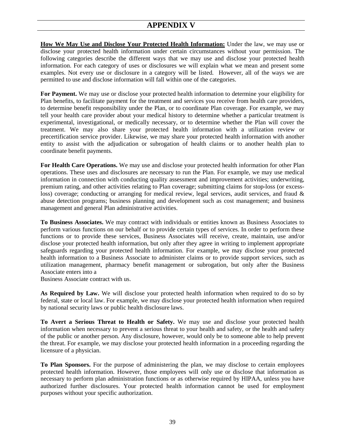### **APPENDIX V**

**How We May Use and Disclose Your Protected Health Information:** Under the law, we may use or disclose your protected health information under certain circumstances without your permission. The following categories describe the different ways that we may use and disclose your protected health information. For each category of uses or disclosures we will explain what we mean and present some examples. Not every use or disclosure in a category will be listed. However, all of the ways we are permitted to use and disclose information will fall within one of the categories.

**For Payment.** We may use or disclose your protected health information to determine your eligibility for Plan benefits, to facilitate payment for the treatment and services you receive from health care providers, to determine benefit responsibility under the Plan, or to coordinate Plan coverage. For example, we may tell your health care provider about your medical history to determine whether a particular treatment is experimental, investigational, or medically necessary, or to determine whether the Plan will cover the treatment. We may also share your protected health information with a utilization review or precertification service provider. Likewise, we may share your protected health information with another entity to assist with the adjudication or subrogation of health claims or to another health plan to coordinate benefit payments.

**For Health Care Operations.** We may use and disclose your protected health information for other Plan operations. These uses and disclosures are necessary to run the Plan. For example, we may use medical information in connection with conducting quality assessment and improvement activities; underwriting, premium rating, and other activities relating to Plan coverage; submitting claims for stop-loss (or excessloss) coverage; conducting or arranging for medical review, legal services, audit services, and fraud & abuse detection programs; business planning and development such as cost management; and business management and general Plan administrative activities.

**To Business Associates.** We may contract with individuals or entities known as Business Associates to perform various functions on our behalf or to provide certain types of services. In order to perform these functions or to provide these services, Business Associates will receive, create, maintain, use and/or disclose your protected health information, but only after they agree in writing to implement appropriate safeguards regarding your protected health information. For example, we may disclose your protected health information to a Business Associate to administer claims or to provide support services, such as utilization management, pharmacy benefit management or subrogation, but only after the Business Associate enters into a

Business Associate contract with us.

**As Required by Law.** We will disclose your protected health information when required to do so by federal, state or local law. For example, we may disclose your protected health information when required by national security laws or public health disclosure laws.

**To Avert a Serious Threat to Health or Safety.** We may use and disclose your protected health information when necessary to prevent a serious threat to your health and safety, or the health and safety of the public or another person. Any disclosure, however, would only be to someone able to help prevent the threat. For example, we may disclose your protected health information in a proceeding regarding the licensure of a physician.

**To Plan Sponsors.** For the purpose of administering the plan, we may disclose to certain employees protected health information. However, those employees will only use or disclose that information as necessary to perform plan administration functions or as otherwise required by HIPAA, unless you have authorized further disclosures. Your protected health information cannot be used for employment purposes without your specific authorization.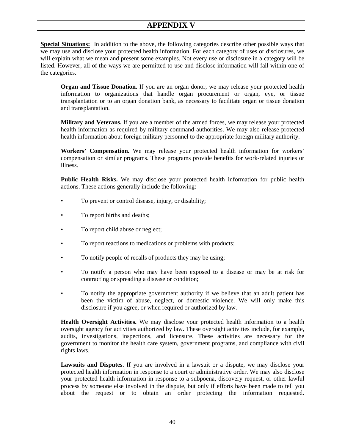### **APPENDIX V**

**Special Situations:** In addition to the above, the following categories describe other possible ways that we may use and disclose your protected health information. For each category of uses or disclosures, we will explain what we mean and present some examples. Not every use or disclosure in a category will be listed. However, all of the ways we are permitted to use and disclose information will fall within one of the categories.

**Organ and Tissue Donation.** If you are an organ donor, we may release your protected health information to organizations that handle organ procurement or organ, eye, or tissue transplantation or to an organ donation bank, as necessary to facilitate organ or tissue donation and transplantation.

**Military and Veterans.** If you are a member of the armed forces, we may release your protected health information as required by military command authorities. We may also release protected health information about foreign military personnel to the appropriate foreign military authority.

**Workers' Compensation.** We may release your protected health information for workers' compensation or similar programs. These programs provide benefits for work-related injuries or illness.

**Public Health Risks.** We may disclose your protected health information for public health actions. These actions generally include the following:

- To prevent or control disease, injury, or disability;
- To report births and deaths;
- To report child abuse or neglect;
- To report reactions to medications or problems with products;
- To notify people of recalls of products they may be using;
- To notify a person who may have been exposed to a disease or may be at risk for contracting or spreading a disease or condition;
- To notify the appropriate government authority if we believe that an adult patient has been the victim of abuse, neglect, or domestic violence. We will only make this disclosure if you agree, or when required or authorized by law.

**Health Oversight Activities.** We may disclose your protected health information to a health oversight agency for activities authorized by law. These oversight activities include, for example, audits, investigations, inspections, and licensure. These activities are necessary for the government to monitor the health care system, government programs, and compliance with civil rights laws.

**Lawsuits and Disputes.** If you are involved in a lawsuit or a dispute, we may disclose your protected health information in response to a court or administrative order. We may also disclose your protected health information in response to a subpoena, discovery request, or other lawful process by someone else involved in the dispute, but only if efforts have been made to tell you about the request or to obtain an order protecting the information requested.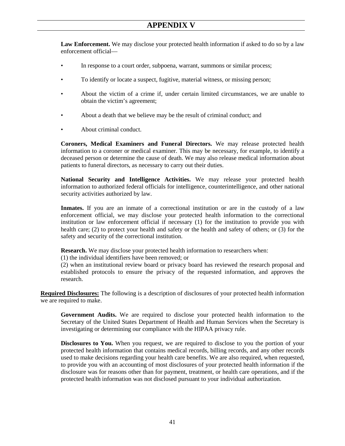**Law Enforcement.** We may disclose your protected health information if asked to do so by a law enforcement official—

- In response to a court order, subpoena, warrant, summons or similar process;
- To identify or locate a suspect, fugitive, material witness, or missing person;
- About the victim of a crime if, under certain limited circumstances, we are unable to obtain the victim's agreement;
- About a death that we believe may be the result of criminal conduct; and
- About criminal conduct.

**Coroners, Medical Examiners and Funeral Directors.** We may release protected health information to a coroner or medical examiner. This may be necessary, for example, to identify a deceased person or determine the cause of death. We may also release medical information about patients to funeral directors, as necessary to carry out their duties.

**National Security and Intelligence Activities.** We may release your protected health information to authorized federal officials for intelligence, counterintelligence, and other national security activities authorized by law.

**Inmates.** If you are an inmate of a correctional institution or are in the custody of a law enforcement official, we may disclose your protected health information to the correctional institution or law enforcement official if necessary (1) for the institution to provide you with health care; (2) to protect your health and safety or the health and safety of others; or (3) for the safety and security of the correctional institution.

**Research.** We may disclose your protected health information to researchers when:

(1) the individual identifiers have been removed; or

(2) when an institutional review board or privacy board has reviewed the research proposal and established protocols to ensure the privacy of the requested information, and approves the research.

**Required Disclosures:** The following is a description of disclosures of your protected health information we are required to make.

**Government Audits.** We are required to disclose your protected health information to the Secretary of the United States Department of Health and Human Services when the Secretary is investigating or determining our compliance with the HIPAA privacy rule.

**Disclosures to You.** When you request, we are required to disclose to you the portion of your protected health information that contains medical records, billing records, and any other records used to make decisions regarding your health care benefits. We are also required, when requested, to provide you with an accounting of most disclosures of your protected health information if the disclosure was for reasons other than for payment, treatment, or health care operations, and if the protected health information was not disclosed pursuant to your individual authorization.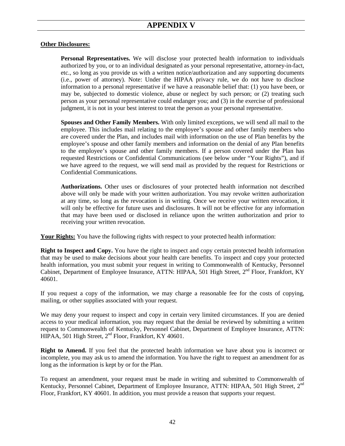#### **Other Disclosures:**

**Personal Representatives.** We will disclose your protected health information to individuals authorized by you, or to an individual designated as your personal representative, attorney-in-fact, etc., so long as you provide us with a written notice/authorization and any supporting documents (i.e., power of attorney). Note: Under the HIPAA privacy rule, we do not have to disclose information to a personal representative if we have a reasonable belief that: (1) you have been, or may be, subjected to domestic violence, abuse or neglect by such person; or (2) treating such person as your personal representative could endanger you; and (3) in the exercise of professional judgment, it is not in your best interest to treat the person as your personal representative.

**Spouses and Other Family Members.** With only limited exceptions, we will send all mail to the employee. This includes mail relating to the employee's spouse and other family members who are covered under the Plan, and includes mail with information on the use of Plan benefits by the employee's spouse and other family members and information on the denial of any Plan benefits to the employee's spouse and other family members. If a person covered under the Plan has requested Restrictions or Confidential Communications (see below under "Your Rights"), and if we have agreed to the request, we will send mail as provided by the request for Restrictions or Confidential Communications.

**Authorizations.** Other uses or disclosures of your protected health information not described above will only be made with your written authorization. You may revoke written authorization at any time, so long as the revocation is in writing. Once we receive your written revocation, it will only be effective for future uses and disclosures. It will not be effective for any information that may have been used or disclosed in reliance upon the written authorization and prior to receiving your written revocation.

**Your Rights:** You have the following rights with respect to your protected health information:

**Right to Inspect and Copy.** You have the right to inspect and copy certain protected health information that may be used to make decisions about your health care benefits. To inspect and copy your protected health information, you must submit your request in writing to Commonwealth of Kentucky, Personnel Cabinet, Department of Employee Insurance, ATTN: HIPAA, 501 High Street, 2<sup>nd</sup> Floor, Frankfort, KY 40601.

If you request a copy of the information, we may charge a reasonable fee for the costs of copying, mailing, or other supplies associated with your request.

We may deny your request to inspect and copy in certain very limited circumstances. If you are denied access to your medical information, you may request that the denial be reviewed by submitting a written request to Commonwealth of Kentucky, Personnel Cabinet, Department of Employee Insurance, ATTN: HIPAA, 501 High Street, 2<sup>nd</sup> Floor, Frankfort, KY 40601.

**Right to Amend.** If you feel that the protected health information we have about you is incorrect or incomplete, you may ask us to amend the information. You have the right to request an amendment for as long as the information is kept by or for the Plan.

To request an amendment, your request must be made in writing and submitted to Commonwealth of Kentucky, Personnel Cabinet, Department of Employee Insurance, ATTN: HIPAA, 501 High Street, 2<sup>nd</sup> Floor, Frankfort, KY 40601. In addition, you must provide a reason that supports your request.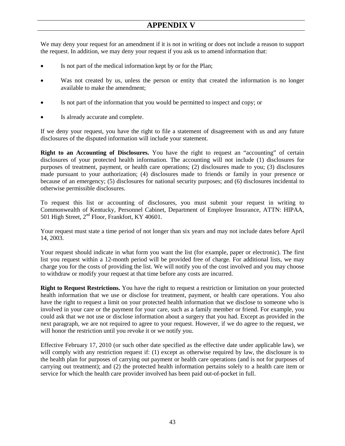We may deny your request for an amendment if it is not in writing or does not include a reason to support the request. In addition, we may deny your request if you ask us to amend information that:

- Is not part of the medical information kept by or for the Plan;
- Was not created by us, unless the person or entity that created the information is no longer available to make the amendment;
- Is not part of the information that you would be permitted to inspect and copy; or
- Is already accurate and complete.

If we deny your request, you have the right to file a statement of disagreement with us and any future disclosures of the disputed information will include your statement.

**Right to an Accounting of Disclosures.** You have the right to request an "accounting" of certain disclosures of your protected health information. The accounting will not include (1) disclosures for purposes of treatment, payment, or health care operations; (2) disclosures made to you; (3) disclosures made pursuant to your authorization; (4) disclosures made to friends or family in your presence or because of an emergency; (5) disclosures for national security purposes; and (6) disclosures incidental to otherwise permissible disclosures.

To request this list or accounting of disclosures, you must submit your request in writing to Commonwealth of Kentucky, Personnel Cabinet, Department of Employee Insurance, ATTN: HIPAA, 501 High Street, 2<sup>nd</sup> Floor, Frankfort, KY 40601.

Your request must state a time period of not longer than six years and may not include dates before April 14, 2003.

Your request should indicate in what form you want the list (for example, paper or electronic). The first list you request within a 12-month period will be provided free of charge. For additional lists, we may charge you for the costs of providing the list. We will notify you of the cost involved and you may choose to withdraw or modify your request at that time before any costs are incurred.

**Right to Request Restrictions.** You have the right to request a restriction or limitation on your protected health information that we use or disclose for treatment, payment, or health care operations. You also have the right to request a limit on your protected health information that we disclose to someone who is involved in your care or the payment for your care, such as a family member or friend. For example, you could ask that we not use or disclose information about a surgery that you had. Except as provided in the next paragraph, we are not required to agree to your request. However, if we do agree to the request, we will honor the restriction until you revoke it or we notify you.

Effective February 17, 2010 (or such other date specified as the effective date under applicable law), we will comply with any restriction request if: (1) except as otherwise required by law, the disclosure is to the health plan for purposes of carrying out payment or health care operations (and is not for purposes of carrying out treatment); and (2) the protected health information pertains solely to a health care item or service for which the health care provider involved has been paid out-of-pocket in full.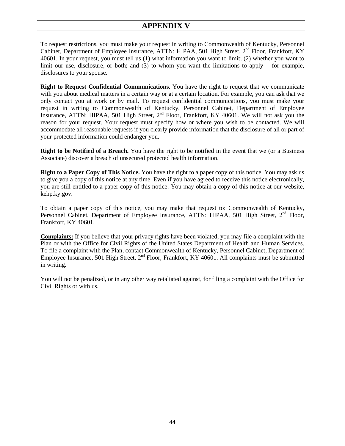### **APPENDIX V**

To request restrictions, you must make your request in writing to Commonwealth of Kentucky, Personnel Cabinet, Department of Employee Insurance, ATTN: HIPAA, 501 High Street, 2<sup>nd</sup> Floor, Frankfort, KY 40601. In your request, you must tell us (1) what information you want to limit; (2) whether you want to limit our use, disclosure, or both; and (3) to whom you want the limitations to apply— for example, disclosures to your spouse.

**Right to Request Confidential Communications.** You have the right to request that we communicate with you about medical matters in a certain way or at a certain location. For example, you can ask that we only contact you at work or by mail. To request confidential communications, you must make your request in writing to Commonwealth of Kentucky, Personnel Cabinet, Department of Employee Insurance, ATTN: HIPAA, 501 High Street,  $2<sup>nd</sup>$  Floor, Frankfort, KY 40601. We will not ask you the reason for your request. Your request must specify how or where you wish to be contacted. We will accommodate all reasonable requests if you clearly provide information that the disclosure of all or part of your protected information could endanger you.

**Right to be Notified of a Breach.** You have the right to be notified in the event that we (or a Business Associate) discover a breach of unsecured protected health information.

**Right to a Paper Copy of This Notice.** You have the right to a paper copy of this notice. You may ask us to give you a copy of this notice at any time. Even if you have agreed to receive this notice electronically, you are still entitled to a paper copy of this notice. You may obtain a copy of this notice at our website, kehp.ky.gov.

To obtain a paper copy of this notice, you may make that request to: Commonwealth of Kentucky, Personnel Cabinet, Department of Employee Insurance, ATTN: HIPAA, 501 High Street, 2<sup>nd</sup> Floor, Frankfort, KY 40601.

**Complaints:** If you believe that your privacy rights have been violated, you may file a complaint with the Plan or with the Office for Civil Rights of the United States Department of Health and Human Services. To file a complaint with the Plan, contact Commonwealth of Kentucky, Personnel Cabinet, Department of Employee Insurance, 501 High Street, 2<sup>nd</sup> Floor, Frankfort, KY 40601. All complaints must be submitted in writing.

You will not be penalized, or in any other way retaliated against, for filing a complaint with the Office for Civil Rights or with us.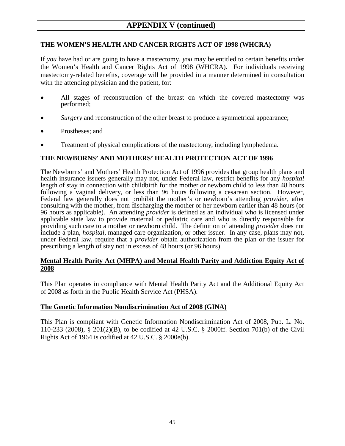### <span id="page-45-0"></span>**THE WOMEN'S HEALTH AND CANCER RIGHTS ACT OF 1998 (WHCRA)**

If *you* have had or are going to have a mastectomy, *you* may be entitled to certain benefits under the Women's Health and Cancer Rights Act of 1998 (WHCRA). For individuals receiving mastectomy-related benefits, coverage will be provided in a manner determined in consultation with the attending physician and the patient, for:

- All stages of reconstruction of the breast on which the covered mastectomy was performed;
- *Surgery* and reconstruction of the other breast to produce a symmetrical appearance;
- Prostheses: and
- Treatment of physical complications of the mastectomy, including lymphedema.

### **THE NEWBORNS' AND MOTHERS' HEALTH PROTECTION ACT OF 1996**

The Newborns' and Mothers' Health Protection Act of 1996 provides that group health plans and health insurance issuers generally may not, under Federal law, restrict benefits for any *hospital* length of stay in connection with childbirth for the mother or newborn child to less than 48 hours following a vaginal delivery, or less than 96 hours following a cesarean section. However, Federal law generally does not prohibit the mother's or newborn's attending *provider*, after consulting with the mother, from discharging the mother or her newborn earlier than 48 hours (or 96 hours as applicable). An attending *provider* is defined as an individual who is licensed under applicable state law to provide maternal or pediatric care and who is directly responsible for providing such care to a mother or newborn child. The definition of attending *provider* does not include a plan, *hospital*, managed care organization, or other issuer. In any case, plans may not, under Federal law, require that a *provider* obtain authorization from the plan or the issuer for prescribing a length of stay not in excess of 48 hours (or 96 hours).

#### **Mental Health Parity Act (MHPA) and Mental Health Parity and Addiction Equity Act of 2008**

This Plan operates in compliance with Mental Health Parity Act and the Additional Equity Act of 2008 as forth in the Public Health Service Act (PHSA).

#### **The Genetic Information Nondiscrimination Act of 2008 (GINA)**

This Plan is compliant with Genetic Information Nondiscrimination Act of 2008, Pub. L. No. 110-233 (2008), § 201(2)(B), to be codified at 42 U.S.C. § 2000ff. Section 701(b) of the Civil Rights Act of 1964 is codified at 42 U.S.C. § 2000e(b).